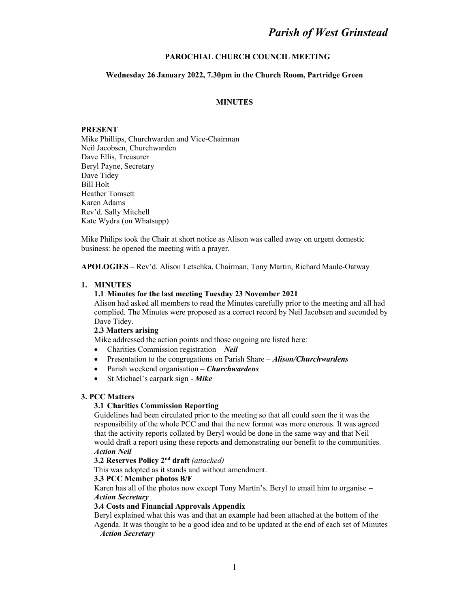# Parish of West Grinstead

### PAROCHIAL CHURCH COUNCIL MEETING

### Wednesday 26 January 2022, 7.30pm in the Church Room, Partridge Green

## **MINUTES**

### PRESENT

Mike Phillips, Churchwarden and Vice-Chairman Neil Jacobsen, Churchwarden Dave Ellis, Treasurer Beryl Payne, Secretary Dave Tidey Bill Holt Heather Tomsett Karen Adams Rev'd. Sally Mitchell Kate Wydra (on Whatsapp)

Mike Philips took the Chair at short notice as Alison was called away on urgent domestic business: he opened the meeting with a prayer.

APOLOGIES – Rev'd. Alison Letschka, Chairman, Tony Martin, Richard Maule-Oatway

#### 1. MINUTES

### 1.1 Minutes for the last meeting Tuesday 23 November 2021

Alison had asked all members to read the Minutes carefully prior to the meeting and all had complied. The Minutes were proposed as a correct record by Neil Jacobsen and seconded by Dave Tidey.

### 2.3 Matters arising

Mike addressed the action points and those ongoing are listed here:

- Charities Commission registration  $-$  *Neil*
- Presentation to the congregations on Parish Share  $-Allison/Churchwardens$
- Parish weekend organisation Churchwardens
- $\bullet$  St Michael's carpark sign Mike

### 3. PCC Matters

### 3.1 Charities Commission Reporting

Guidelines had been circulated prior to the meeting so that all could seen the it was the responsibility of the whole PCC and that the new format was more onerous. It was agreed that the activity reports collated by Beryl would be done in the same way and that Neil would draft a report using these reports and demonstrating our benefit to the communities. Action Neil

#### 3.2 Reserves Policy 2nd draft (attached)

This was adopted as it stands and without amendment.

#### 3.3 PCC Member photos B/F

Karen has all of the photos now except Tony Martin's. Beryl to email him to organise – Action Secretary

#### 3.4 Costs and Financial Approvals Appendix

Beryl explained what this was and that an example had been attached at the bottom of the Agenda. It was thought to be a good idea and to be updated at the end of each set of Minutes – Action Secretary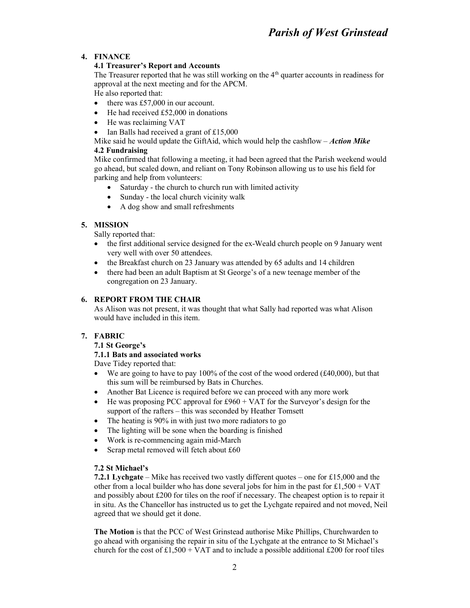# 4. FINANCE

# 4.1 Treasurer's Report and Accounts

The Treasurer reported that he was still working on the 4th quarter accounts in readiness for approval at the next meeting and for the APCM.

He also reported that:

- $\bullet$  there was £57,000 in our account.
- $\bullet$  He had received £52,000 in donations
- He was reclaiming VAT
- Ian Balls had received a grant of £15,000

## Mike said he would update the GiftAid, which would help the cashflow  $-Action$  Mike 4.2 Fundraising

Mike confirmed that following a meeting, it had been agreed that the Parish weekend would go ahead, but scaled down, and reliant on Tony Robinson allowing us to use his field for parking and help from volunteers:

- Saturday the church to church run with limited activity
- Sunday the local church vicinity walk
- A dog show and small refreshments

# 5. MISSION

Sally reported that:

- the first additional service designed for the ex-Weald church people on 9 January went very well with over 50 attendees.
- the Breakfast church on 23 January was attended by 65 adults and 14 children
- there had been an adult Baptism at St George's of a new teenage member of the congregation on 23 January.

# 6. REPORT FROM THE CHAIR

As Alison was not present, it was thought that what Sally had reported was what Alison would have included in this item.

# 7. FABRIC

# 7.1 St George's

# 7.1.1 Bats and associated works

Dave Tidey reported that:

- We are going to have to pay 100% of the cost of the wood ordered  $(\text{\pounds}40,000)$ , but that this sum will be reimbursed by Bats in Churches.
- Another Bat Licence is required before we can proceed with any more work
- $\bullet$  He was proposing PCC approval for £960 + VAT for the Surveyor's design for the support of the rafters – this was seconded by Heather Tomsett
- The heating is 90% in with just two more radiators to go
- The lighting will be sone when the boarding is finished
- Work is re-commencing again mid-March
- Scrap metal removed will fetch about £60

# 7.2 St Michael's

7.2.1 Lychgate – Mike has received two vastly different quotes – one for £15,000 and the other from a local builder who has done several jobs for him in the past for  $\pounds1,500 + VAT$ and possibly about £200 for tiles on the roof if necessary. The cheapest option is to repair it in situ. As the Chancellor has instructed us to get the Lychgate repaired and not moved, Neil agreed that we should get it done.

The Motion is that the PCC of West Grinstead authorise Mike Phillips, Churchwarden to go ahead with organising the repair in situ of the Lychgate at the entrance to St Michael's church for the cost of £1,500 + VAT and to include a possible additional £200 for roof tiles